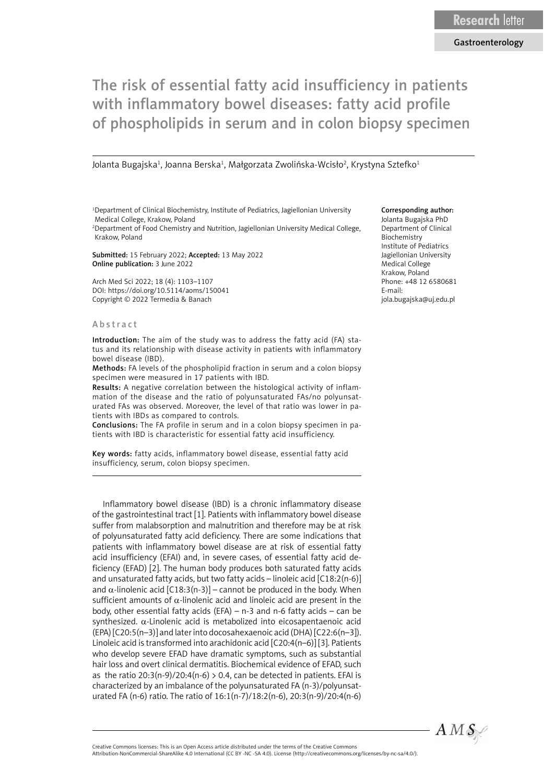# The risk of essential fatty acid insufficiency in patients with inflammatory bowel diseases: fatty acid profile of phospholipids in serum and in colon biopsy specimen

Jolanta Bugajska<sup>1</sup>, Joanna Berska<sup>1</sup>, Małgorzata Zwolińska-Wcisło<sup>2</sup>, Krystyna Sztefko<sup>1</sup>

<sup>1</sup>Department of Clinical Biochemistry, Institute of Pediatrics, Jagiellonian University Medical College, Krakow, Poland 2 Department of Food Chemistry and Nutrition, Jagiellonian University Medical College,

Krakow, Poland

Submitted: 15 February 2022; Accepted: 13 May 2022 Online publication: 3 June 2022

Arch Med Sci 2022; 18 (4): 1103–1107 DOI: https://doi.org/10.5114/aoms/150041 Copyright © 2022 Termedia & Banach

## Abstract

Introduction: The aim of the study was to address the fatty acid (FA) status and its relationship with disease activity in patients with inflammatory bowel disease (IBD).

Methods: FA levels of the phospholipid fraction in serum and a colon biopsy specimen were measured in 17 patients with IBD.

Results: A negative correlation between the histological activity of inflammation of the disease and the ratio of polyunsaturated FAs/no polyunsaturated FAs was observed. Moreover, the level of that ratio was lower in patients with IBDs as compared to controls.

Conclusions: The FA profile in serum and in a colon biopsy specimen in patients with IBD is characteristic for essential fatty acid insufficiency.

Key words: fatty acids, inflammatory bowel disease, essential fatty acid insufficiency, serum, colon biopsy specimen.

Inflammatory bowel disease (IBD) is a chronic inflammatory disease of the gastrointestinal tract [1]. Patients with inflammatory bowel disease suffer from malabsorption and malnutrition and therefore may be at risk of polyunsaturated fatty acid deficiency. There are some indications that patients with inflammatory bowel disease are at risk of essential fatty acid insufficiency (EFAI) and, in severe cases, of essential fatty acid deficiency (EFAD) [2]. The human body produces both saturated fatty acids and unsaturated fatty acids, but two fatty acids – linoleic acid [C18:2(n-6)] and  $\alpha$ -linolenic acid [C18:3(n-3)] – cannot be produced in the body. When sufficient amounts of  $\alpha$ -linolenic acid and linoleic acid are present in the body, other essential fatty acids (EFA) – n-3 and n-6 fatty acids – can be synthesized.  $\alpha$ -Linolenic acid is metabolized into eicosapentaenoic acid (EPA) [C20:5(n–3)] and later into docosahexaenoic acid (DHA) [C22:6(n–3]). Linoleic acid is transformed into arachidonic acid [C20:4(n–6)] [3]. Patients who develop severe EFAD have dramatic symptoms, such as substantial hair loss and overt clinical dermatitis. Biochemical evidence of EFAD, such as the ratio  $20:3(n-9)/20:4(n-6) > 0.4$ , can be detected in patients. EFAI is characterized by an imbalance of the polyunsaturated FA (n-3)/polyunsaturated FA (n-6) ratio. The ratio of 16:1(n-7)/18:2(n-6), 20:3(n-9)/20:4(n-6)

#### Corresponding author:

Jolanta Bugajska PhD Department of Clinical Biochemistry Institute of Pediatrics Jagiellonian University Medical College Krakow, Poland Phone: +48 12 6580681 E-mail: jola.bugajska@uj.edu.pl



Attribution-NonCommercial-ShareAlike 4.0 International (CC BY -NC -SA 4.0). License (http://creativecommons.org/licenses/by-nc-sa/4.0/).

Creative Commons licenses: This is an Open Access article distributed under the terms of the Creative Commons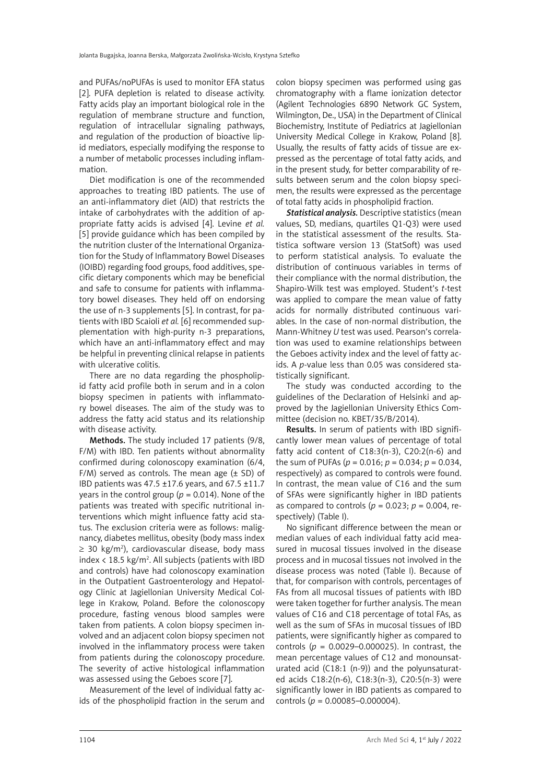and PUFAs/noPUFAs is used to monitor EFA status [2]. PUFA depletion is related to disease activity. Fatty acids play an important biological role in the regulation of membrane structure and function, regulation of intracellular signaling pathways, and regulation of the production of bioactive lipid mediators, especially modifying the response to a number of metabolic processes including inflammation.

Diet modification is one of the recommended approaches to treating IBD patients. The use of an anti-inflammatory diet (AID) that restricts the intake of carbohydrates with the addition of appropriate fatty acids is advised [4]. Levine *et al.* [5] provide guidance which has been compiled by the nutrition cluster of the International Organization for the Study of Inflammatory Bowel Diseases (IOIBD) regarding food groups, food additives, specific dietary components which may be beneficial and safe to consume for patients with inflammatory bowel diseases. They held off on endorsing the use of n-3 supplements [5]. In contrast, for patients with IBD Scaioli *et al.* [6] recommended supplementation with high-purity n-3 preparations, which have an anti-inflammatory effect and may be helpful in preventing clinical relapse in patients with ulcerative colitis.

There are no data regarding the phospholipid fatty acid profile both in serum and in a colon biopsy specimen in patients with inflammatory bowel diseases. The aim of the study was to address the fatty acid status and its relationship with disease activity.

Methods. The study included 17 patients (9/8, F/M) with IBD. Ten patients without abnormality confirmed during colonoscopy examination (6/4, F/M) served as controls. The mean age  $(\pm$  SD) of IBD patients was 47.5 ±17.6 years, and 67.5 ±11.7 years in the control group ( $p = 0.014$ ). None of the patients was treated with specific nutritional interventions which might influence fatty acid status. The exclusion criteria were as follows: malignancy, diabetes mellitus, obesity (body mass index  $\geq$  30 kg/m<sup>2</sup>), cardiovascular disease, body mass index  $\langle 18.5 \text{ kg/m}^2$ . All subjects (patients with IBD and controls) have had colonoscopy examination in the Outpatient Gastroenterology and Hepatology Clinic at Jagiellonian University Medical College in Krakow, Poland. Before the colonoscopy procedure, fasting venous blood samples were taken from patients. A colon biopsy specimen involved and an adjacent colon biopsy specimen not involved in the inflammatory process were taken from patients during the colonoscopy procedure. The severity of active histological inflammation was assessed using the Geboes score [7].

Measurement of the level of individual fatty acids of the phospholipid fraction in the serum and colon biopsy specimen was performed using gas chromatography with a flame ionization detector (Agilent Technologies 6890 Network GC System, Wilmington, De., USA) in the Department of Clinical Biochemistry, Institute of Pediatrics at Jagiellonian University Medical College in Krakow, Poland [8]. Usually, the results of fatty acids of tissue are expressed as the percentage of total fatty acids, and in the present study, for better comparability of results between serum and the colon biopsy specimen, the results were expressed as the percentage of total fatty acids in phospholipid fraction.

*Statistical analysis.* Descriptive statistics (mean values, SD, medians, quartiles Q1-Q3) were used in the statistical assessment of the results. Statistica software version 13 (StatSoft) was used to perform statistical analysis. To evaluate the distribution of continuous variables in terms of their compliance with the normal distribution, the Shapiro-Wilk test was employed. Student's *t*-test was applied to compare the mean value of fatty acids for normally distributed continuous variables. In the case of non-normal distribution, the Mann-Whitney *U* test was used. Pearson's correlation was used to examine relationships between the Geboes activity index and the level of fatty acids. A *p*-value less than 0.05 was considered statistically significant.

The study was conducted according to the guidelines of the Declaration of Helsinki and approved by the Jagiellonian University Ethics Committee (decision no. KBET/35/B/2014).

Results. In serum of patients with IBD significantly lower mean values of percentage of total fatty acid content of C18:3(n-3), C20:2(n-6) and the sum of PUFAs ( $p = 0.016$ ;  $p = 0.034$ ;  $p = 0.034$ , respectively) as compared to controls were found. In contrast, the mean value of C16 and the sum of SFAs were significantly higher in IBD patients as compared to controls ( $p = 0.023$ ;  $p = 0.004$ , respectively) (Table I).

No significant difference between the mean or median values of each individual fatty acid measured in mucosal tissues involved in the disease process and in mucosal tissues not involved in the disease process was noted (Table I). Because of that, for comparison with controls, percentages of FAs from all mucosal tissues of patients with IBD were taken together for further analysis. The mean values of C16 and C18 percentage of total FAs, as well as the sum of SFAs in mucosal tissues of IBD patients, were significantly higher as compared to controls (*p* = 0.0029–0.000025). In contrast, the mean percentage values of C12 and monounsaturated acid (C18:1 (n-9)) and the polyunsaturated acids C18:2(n-6), C18:3(n-3), C20:5(n-3) were significantly lower in IBD patients as compared to controls (*p* = 0.00085–0.000004).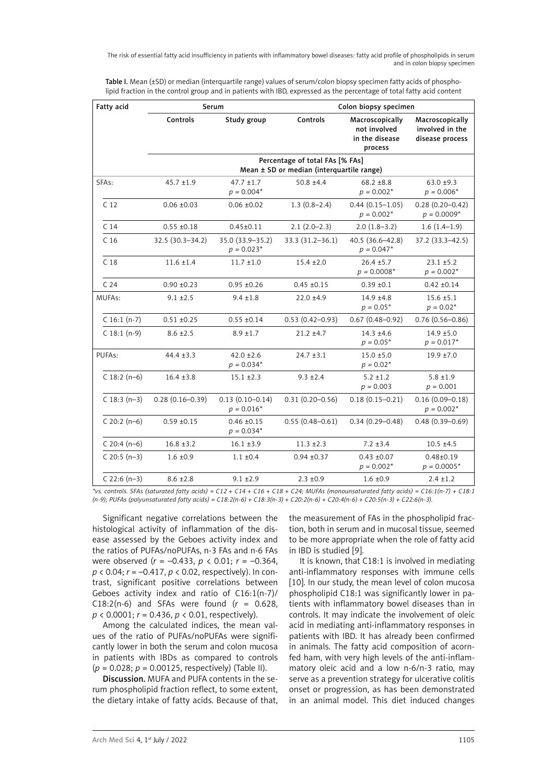The risk of essential fatty acid insufficiency in patients with inflammatory bowel diseases: fatty acid profile of phospholipids in serum and in colon biopsy specimen

Table I. Mean (±SD) or median (interquartile range) values of serum/colon biopsy specimen fatty acids of phospholipid fraction in the control group and in patients with IBD, expressed as the percentage of total fatty acid content

| Fatty acid      | Serum                                                                        |                                     | Colon biopsy specimen |                                                              |                                                       |  |
|-----------------|------------------------------------------------------------------------------|-------------------------------------|-----------------------|--------------------------------------------------------------|-------------------------------------------------------|--|
|                 | Controls                                                                     | Study group                         | Controls              | Macroscopically<br>not involved<br>in the disease<br>process | Macroscopically<br>involved in the<br>disease process |  |
|                 | Percentage of total FAs [% FAs]<br>Mean ± SD or median (interquartile range) |                                     |                       |                                                              |                                                       |  |
| SFAs:           | $45.7 \pm 1.9$                                                               | $47.7 \pm 1.7$<br>$p = 0.004*$      | $50.8 \pm 4.4$        | $68.2 \pm 8.8$<br>$p = 0.002*$                               | $63.0 \pm 9.3$<br>$p = 0.006*$                        |  |
| C <sub>12</sub> | $0.06 \pm 0.03$                                                              | $0.06 \pm 0.02$                     | $1.3(0.8-2.4)$        | $0.44(0.15 - 1.05)$<br>$p = 0.002*$                          | $0.28(0.20 - 0.42)$<br>$p = 0.0009*$                  |  |
| C <sub>14</sub> | $0.55 \pm 0.18$                                                              | $0.45 \pm 0.11$                     | $2.1(2.0-2.3)$        | $2.0(1.8-3.2)$                                               | $1.6(1.4-1.9)$                                        |  |
| C <sub>16</sub> | 32.5 (30.3-34.2)                                                             | 35.0 (33.9-35.2)<br>$p = 0.023*$    | 33.3 (31.2-36.1)      | 40.5 (36.6-42.8)<br>$p = 0.047*$                             | 37.2 (33.3-42.5)                                      |  |
| C <sub>18</sub> | $11.6 \pm 1.4$                                                               | $11.7 \pm 1.0$                      | $15.4 \pm 2.0$        | $26.4 \pm 5.7$<br>$p = 0.0008*$                              | $23.1 \pm 5.2$<br>$p = 0.002*$                        |  |
| C <sub>24</sub> | $0.90 \pm 0.23$                                                              | $0.95 \pm 0.26$                     | $0.45 \pm 0.15$       | $0.39 \pm 0.1$                                               | $0.42 \pm 0.14$                                       |  |
| MUFAs:          | $9.1 \pm 2.5$                                                                | $9.4 \pm 1.8$                       | $22.0 \pm 4.9$        | $14.9 \pm 4.8$<br>$p = 0.05*$                                | $15.6 \pm 5.1$<br>$p = 0.02*$                         |  |
| $C$ 16:1 (n-7)  | $0.51 \pm 0.25$                                                              | $0.55 \pm 0.14$                     | $0.53(0.42 - 0.93)$   | $0.67(0.48 - 0.92)$                                          | $0.76(0.56 - 0.86)$                                   |  |
| $C$ 18:1 (n-9)  | $8.6 \pm 2.5$                                                                | $8.9 \pm 1.7$                       | $21.2 \pm 4.7$        | $14.3 \pm 4.6$<br>$p = 0.05*$                                | $14.9 + 5.0$<br>$p = 0.017*$                          |  |
| PUFAs:          | $44.4 \pm 3.3$                                                               | $42.0 \pm 2.6$<br>$p = 0.034*$      | $24.7 \pm 3.1$        | $15.0 \pm 5.0$<br>$p = 0.02*$                                | $19.9 \pm 7.0$                                        |  |
| $C$ 18:2 (n-6)  | $16.4 \pm 3.8$                                                               | $15.1 \pm 2.3$                      | $9.3 \pm 2.4$         | $5.2 \pm 1.2$<br>$p = 0.003$                                 | $5.8 \pm 1.9$<br>$p = 0.001$                          |  |
| $C$ 18:3 (n-3)  | $0.28(0.16 - 0.39)$                                                          | $0.13(0.10 - 0.14)$<br>$p = 0.016*$ | $0.31(0.20 - 0.56)$   | $0.18(0.15 - 0.21)$                                          | $0.16(0.09 - 0.18)$<br>$p = 0.002*$                   |  |
| $C$ 20:2 (n-6)  | $0.59 + 0.15$                                                                | $0.46 \pm 0.15$<br>$p = 0.034*$     | $0.55(0.48 - 0.61)$   | $0.34(0.29 - 0.48)$                                          | $0.48(0.39 - 0.69)$                                   |  |
| $C$ 20:4 (n-6)  | $16.8 \pm 3.2$                                                               | $16.1 \pm 3.9$                      | $11.3 \pm 2.3$        | $7.2 \pm 3.4$                                                | $10.5 \pm 4.5$                                        |  |
| $C$ 20:5 (n-3)  | $1.6 \pm 0.9$                                                                | $1.1 \pm 0.4$                       | $0.94 \pm 0.37$       | $0.43 \pm 0.07$<br>$p = 0.002*$                              | $0.48 + 0.19$<br>$p = 0.0005*$                        |  |
| $C$ 22:6 (n-3)  | $8.6 \pm 2.8$                                                                | $9.1 \pm 2.9$                       | $2.3 \pm 0.9$         | $1.6 \pm 0.9$                                                | $2.4 \pm 1.2$                                         |  |

*\*vs. controls. SFAs (saturated fatty acids) = C12 + C14 + C16 + C18 + C24; MUFAs (monounsaturated fatty acids) = C16:1(n-7) + C18:1 (n-9); PUFAs (polyunsaturated fatty acids) = C18:2(n-6) + C18:3(n-3) + C20:2(n-6) + C20:4(n-6) + C20:5(n-3) + C22:6(n-3).*

Significant negative correlations between the histological activity of inflammation of the disease assessed by the Geboes activity index and the ratios of PUFAs/noPUFAs, n-3 FAs and n-6 FAs were observed (*r* = –0.433, *p* < 0.01; *r* = –0.364, *p* < 0.04; *r* = –0.417, *p* < 0.02, respectively). In contrast, significant positive correlations between Geboes activity index and ratio of C16:1(n-7)/ C18:2(n-6) and SFAs were found (*r* = 0.628, *p* < 0.0001; *r* = 0.436, *p* < 0.01, respectively).

Among the calculated indices, the mean values of the ratio of PUFAs/noPUFAs were significantly lower in both the serum and colon mucosa in patients with IBDs as compared to controls (*p* = 0.028; *p* = 0.00125, respectively) (Table II).

Discussion. MUFA and PUFA contents in the serum phospholipid fraction reflect, to some extent, the dietary intake of fatty acids. Because of that, the measurement of FAs in the phospholipid fraction, both in serum and in mucosal tissue, seemed to be more appropriate when the role of fatty acid in IBD is studied [9].

It is known, that C18:1 is involved in mediating anti-inflammatory responses with immune cells [10]. In our study, the mean level of colon mucosa phospholipid C18:1 was significantly lower in patients with inflammatory bowel diseases than in controls. It may indicate the involvement of oleic acid in mediating anti-inflammatory responses in patients with IBD. It has already been confirmed in animals. The fatty acid composition of acornfed ham, with very high levels of the anti-inflammatory oleic acid and a low n-6/n-3 ratio, may serve as a prevention strategy for ulcerative colitis onset or progression, as has been demonstrated in an animal model. This diet induced changes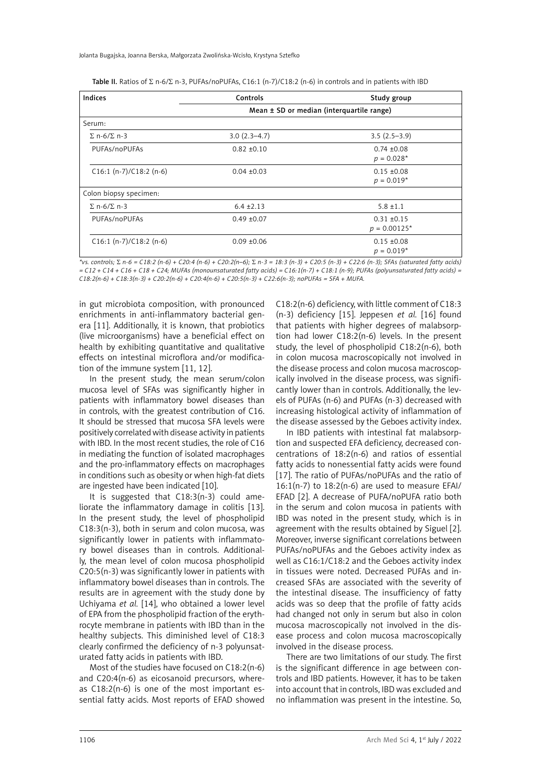Jolanta Bugajska, Joanna Berska, Małgorzata Zwolińska-Wcisło, Krystyna Sztefko

| Indices                    | Controls                                      | Study group                       |  |  |
|----------------------------|-----------------------------------------------|-----------------------------------|--|--|
|                            | Mean $\pm$ SD or median (interquartile range) |                                   |  |  |
| Serum:                     |                                               |                                   |  |  |
| $\Sigma$ n-6/ $\Sigma$ n-3 | $3.0(2.3-4.7)$                                | $3.5(2.5-3.9)$                    |  |  |
| PUFAs/noPUFAs              | $0.82 \pm 0.10$                               | $0.74 \pm 0.08$<br>$p = 0.028*$   |  |  |
| $C16:1 (n-7)/C18:2 (n-6)$  | $0.04 \pm 0.03$                               | $0.15 \pm 0.08$<br>$p = 0.019*$   |  |  |
| Colon biopsy specimen:     |                                               |                                   |  |  |
| $\Sigma$ n-6/ $\Sigma$ n-3 | $6.4 \pm 2.13$                                | $5.8 \pm 1.1$                     |  |  |
| PUFAs/noPUFAs              | $0.49 \pm 0.07$                               | $0.31 \pm 0.15$<br>$p = 0.00125*$ |  |  |
| $C16:1 (n-7)/C18:2 (n-6)$  | $0.09 \pm 0.06$                               | $0.15 \pm 0.08$<br>$p = 0.019*$   |  |  |

Table II. Ratios of  $\Sigma$  n-6/ $\Sigma$  n-3, PUFAs/noPUFAs, C16:1 (n-7)/C18:2 (n-6) in controls and in patients with IBD

*\*vs. controls;* S *n-6 = C18:2 (n-6) + C20:4 (n-6) + C20:2(n–6);* S *n-3 = 18:3 (n-3) + C20:5 (n-3) + C22:6 (n-3); SFAs (saturated fatty acids) = C12 + C14 + C16 + C18 + C24; MUFAs (monounsaturated fatty acids) = C16:1(n-7) + C18:1 (n-9); PUFAs (polyunsaturated fatty acids) = C18:2(n-6) + C18:3(n-3) + C20:2(n-6) + C20:4(n-6) + C20:5(n-3) + C22:6(n-3); noPUFAs = SFA + MUFA.*

in gut microbiota composition, with pronounced enrichments in anti-inflammatory bacterial genera [11]. Additionally, it is known, that probiotics (live microorganisms) have a beneficial effect on health by exhibiting quantitative and qualitative effects on intestinal microflora and/or modification of the immune system [11, 12].

In the present study, the mean serum/colon mucosa level of SFAs was significantly higher in patients with inflammatory bowel diseases than in controls, with the greatest contribution of C16. It should be stressed that mucosa SFA levels were positively correlated with disease activity in patients with IBD. In the most recent studies, the role of C16 in mediating the function of isolated macrophages and the pro-inflammatory effects on macrophages in conditions such as obesity or when high-fat diets are ingested have been indicated [10].

It is suggested that C18:3(n-3) could ameliorate the inflammatory damage in colitis [13]. In the present study, the level of phospholipid C18:3(n-3), both in serum and colon mucosa, was significantly lower in patients with inflammatory bowel diseases than in controls. Additionally, the mean level of colon mucosa phospholipid C20:5(n-3) was significantly lower in patients with inflammatory bowel diseases than in controls. The results are in agreement with the study done by Uchiyama *et al.* [14], who obtained a lower level of EPA from the phospholipid fraction of the erythrocyte membrane in patients with IBD than in the healthy subjects. This diminished level of C18:3 clearly confirmed the deficiency of n-3 polyunsaturated fatty acids in patients with IBD.

Most of the studies have focused on C18:2(n-6) and C20:4(n-6) as eicosanoid precursors, whereas C18:2(n-6) is one of the most important essential fatty acids. Most reports of EFAD showed C18:2(n-6) deficiency, with little comment of C18:3 (n-3) deficiency [15]. Jeppesen *et al.* [16] found that patients with higher degrees of malabsorption had lower C18:2(n-6) levels. In the present study, the level of phospholipid C18:2(n-6), both in colon mucosa macroscopically not involved in the disease process and colon mucosa macroscopically involved in the disease process, was significantly lower than in controls. Additionally, the levels of PUFAs (n-6) and PUFAs (n-3) decreased with increasing histological activity of inflammation of the disease assessed by the Geboes activity index.

In IBD patients with intestinal fat malabsorption and suspected EFA deficiency, decreased concentrations of 18:2(n-6) and ratios of essential fatty acids to nonessential fatty acids were found [17]. The ratio of PUFAs/noPUFAs and the ratio of  $16:1(n-7)$  to  $18:2(n-6)$  are used to measure EFAI/ EFAD [2]. A decrease of PUFA/noPUFA ratio both in the serum and colon mucosa in patients with IBD was noted in the present study, which is in agreement with the results obtained by Siguel [2]. Moreover, inverse significant correlations between PUFAs/noPUFAs and the Geboes activity index as well as C16:1/C18:2 and the Geboes activity index in tissues were noted. Decreased PUFAs and increased SFAs are associated with the severity of the intestinal disease. The insufficiency of fatty acids was so deep that the profile of fatty acids had changed not only in serum but also in colon mucosa macroscopically not involved in the disease process and colon mucosa macroscopically involved in the disease process.

There are two limitations of our study. The first is the significant difference in age between controls and IBD patients. However, it has to be taken into account that in controls, IBD was excluded and no inflammation was present in the intestine. So,